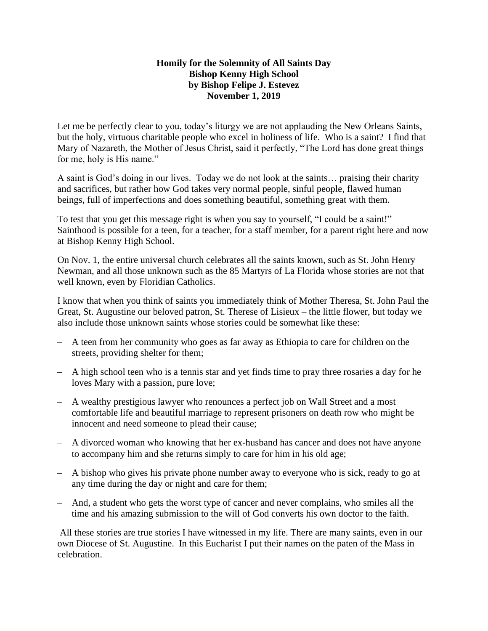## **Homily for the Solemnity of All Saints Day Bishop Kenny High School by Bishop Felipe J. Estevez November 1, 2019**

Let me be perfectly clear to you, today's liturgy we are not applauding the New Orleans Saints, but the holy, virtuous charitable people who excel in holiness of life. Who is a saint? I find that Mary of Nazareth, the Mother of Jesus Christ, said it perfectly, "The Lord has done great things for me, holy is His name."

A saint is God's doing in our lives. Today we do not look at the saints… praising their charity and sacrifices, but rather how God takes very normal people, sinful people, flawed human beings, full of imperfections and does something beautiful, something great with them.

To test that you get this message right is when you say to yourself, "I could be a saint!" Sainthood is possible for a teen, for a teacher, for a staff member, for a parent right here and now at Bishop Kenny High School.

On Nov. 1, the entire universal church celebrates all the saints known, such as St. John Henry Newman, and all those unknown such as the 85 Martyrs of La Florida whose stories are not that well known, even by Floridian Catholics.

I know that when you think of saints you immediately think of Mother Theresa, St. John Paul the Great, St. Augustine our beloved patron, St. Therese of Lisieux – the little flower, but today we also include those unknown saints whose stories could be somewhat like these:

- A teen from her community who goes as far away as Ethiopia to care for children on the streets, providing shelter for them;
- A high school teen who is a tennis star and yet finds time to pray three rosaries a day for he loves Mary with a passion, pure love;
- A wealthy prestigious lawyer who renounces a perfect job on Wall Street and a most comfortable life and beautiful marriage to represent prisoners on death row who might be innocent and need someone to plead their cause;
- A divorced woman who knowing that her ex-husband has cancer and does not have anyone to accompany him and she returns simply to care for him in his old age;
- A bishop who gives his private phone number away to everyone who is sick, ready to go at any time during the day or night and care for them;
- And, a student who gets the worst type of cancer and never complains, who smiles all the time and his amazing submission to the will of God converts his own doctor to the faith.

All these stories are true stories I have witnessed in my life. There are many saints, even in our own Diocese of St. Augustine. In this Eucharist I put their names on the paten of the Mass in celebration.